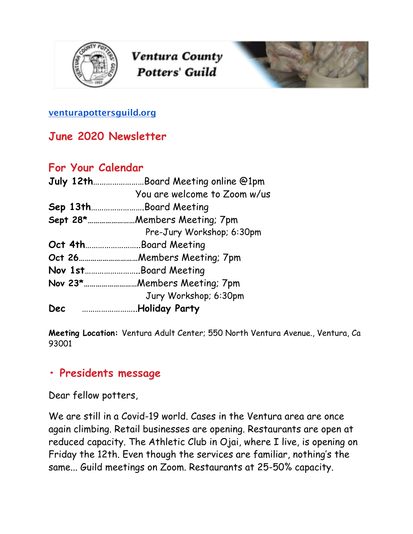

Ventura County **Potters' Guild** 



#### **[venturapottersguild.org](http://venturapottersguild.org/)**

### **June 2020 Newsletter**

### **For Your Calendar**

|     | July 12thBoard Meeting online @1pm |
|-----|------------------------------------|
|     | You are welcome to Zoom w/us       |
|     | Sep 13thBoard Meeting              |
|     | Sept 28*Members Meeting; 7pm       |
|     | Pre-Jury Workshop; 6:30pm          |
|     | Oct 4thBoard Meeting               |
|     |                                    |
|     | Nov 1stBoard Meeting               |
|     | Nov 23*Members Meeting; 7pm        |
|     | Jury Workshop; 6:30pm              |
| Dec | <b>Holiday Party</b>               |

**Meeting Location:** Ventura Adult Center; 550 North Ventura Avenue., Ventura, Ca 93001

### **• Presidents message**

Dear fellow potters,

We are still in a Covid-19 world. Cases in the Ventura area are once again climbing. Retail businesses are opening. Restaurants are open at reduced capacity. The Athletic Club in Ojai, where I live, is opening on Friday the 12th. Even though the services are familiar, nothing's the same... Guild meetings on Zoom. Restaurants at 25-50% capacity.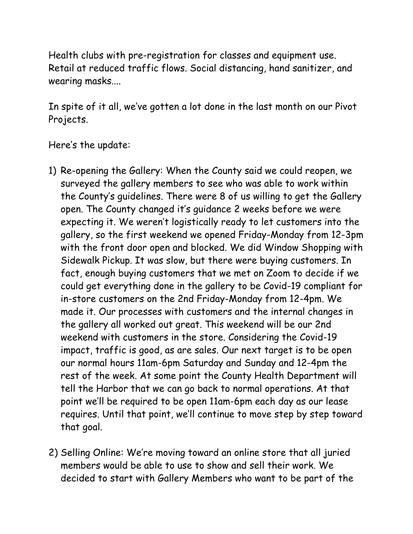Health clubs with pre-registration for classes and equipment use. Retail at reduced traffic flows. Social distancing, hand sanitizer, and wearing masks....

In spite of it all, we've gotten a lot done in the last month on our Pivot Projects.

#### Here's the update:

- 1) Re-opening the Gallery: When the County said we could reopen, we surveyed the gallery members to see who was able to work within the County's guidelines. There were 8 of us willing to get the Gallery open. The County changed it's guidance 2 weeks before we were expecting it. We weren't logistically ready to let customers into the gallery, so the first weekend we opened Friday-Monday from 12-3pm with the front door open and blocked. We did Window Shopping with Sidewalk Pickup. It was slow, but there were buying customers. In fact, enough buying customers that we met on Zoom to decide if we could get everything done in the gallery to be Covid-19 compliant for in-store customers on the 2nd Friday-Monday from 12-4pm. We made it. Our processes with customers and the internal changes in the gallery all worked out great. This weekend will be our 2nd weekend with customers in the store. Considering the Covid-19 impact, traffic is good, as are sales. Our next target is to be open our normal hours 11am-6pm Saturday and Sunday and 12-4pm the rest of the week. At some point the County Health Department will tell the Harbor that we can go back to normal operations. At that point we'll be required to be open 11am-6pm each day as our lease requires. Until that point, we'll continue to move step by step toward that goal.
- 2) Selling Online: We're moving toward an online store that all juried members would be able to use to show and sell their work. We decided to start with Gallery Members who want to be part of the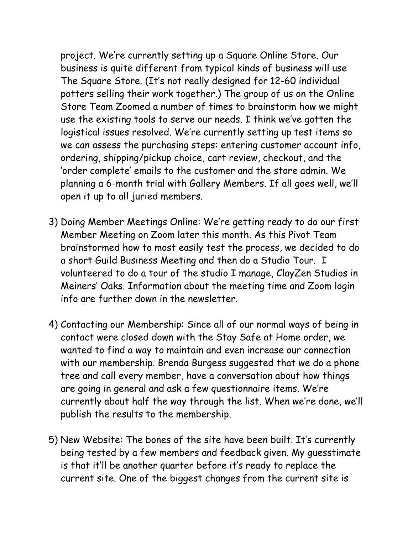project. We're currently setting up a Square Online Store. Our business is quite different from typical kinds of business will use The Square Store. (It's not really designed for 12-60 individual potters selling their work together.) The group of us on the Online Store Team Zoomed a number of times to brainstorm how we might use the existing tools to serve our needs. I think we've gotten the logistical issues resolved. We're currently setting up test items so we can assess the purchasing steps: entering customer account info, ordering, shipping/pickup choice, cart review, checkout, and the 'order complete' emails to the customer and the store admin. We planning a 6-month trial with Gallery Members. If all goes well, we'll open it up to all juried members.

- 3) Doing Member Meetings Online: We're getting ready to do our first Member Meeting on Zoom later this month. As this Pivot Team brainstormed how to most easily test the process, we decided to do a short Guild Business Meeting and then do a Studio Tour. I volunteered to do a tour of the studio I manage, ClayZen Studios in Meiners' Oaks. Information about the meeting time and Zoom login info are further down in the newsletter.
- 4) Contacting our Membership: Since all of our normal ways of being in contact were closed down with the Stay Safe at Home order, we wanted to find a way to maintain and even increase our connection with our membership. Brenda Burgess suggested that we do a phone tree and call every member, have a conversation about how things are going in general and ask a few questionnaire items. We're currently about half the way through the list. When we're done, we'll publish the results to the membership.
- 5) New Website: The bones of the site have been built. It's currently being tested by a few members and feedback given. My guesstimate is that it'll be another quarter before it's ready to replace the current site. One of the biggest changes from the current site is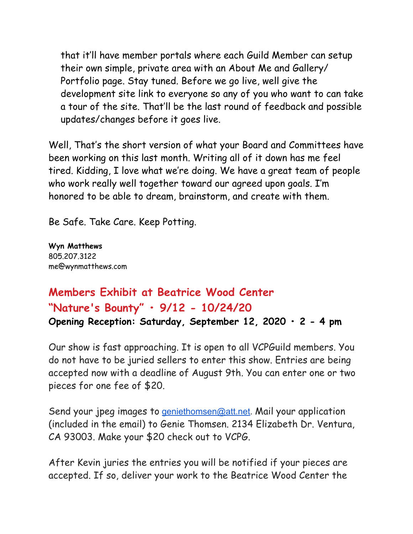that it'll have member portals where each Guild Member can setup their own simple, private area with an About Me and Gallery/ Portfolio page. Stay tuned. Before we go live, well give the development site link to everyone so any of you who want to can take a tour of the site. That'll be the last round of feedback and possible updates/changes before it goes live.

Well, That's the short version of what your Board and Committees have been working on this last month. Writing all of it down has me feel tired. Kidding, I love what we're doing. We have a great team of people who work really well together toward our agreed upon goals. I'm honored to be able to dream, brainstorm, and create with them.

Be Safe. Take Care. Keep Potting.

**Wyn Matthews**  805.207.3122 me@wynmatthews.com

# **Members Exhibit at Beatrice Wood Center "Nature's Bounty" • 9/12 - 10/24/20 Opening Reception: Saturday, September 12, 2020 • 2 - 4 pm**

Our show is fast approaching. It is open to all VCPGuild members. You do not have to be juried sellers to enter this show. Entries are being accepted now with a deadline of August 9th. You can enter one or two pieces for one fee of \$20.

Send your jpeg images to [geniethomsen@att.net](mailto:geniethomsen@att.net). Mail your application (included in the email) to Genie Thomsen. 2134 Elizabeth Dr. Ventura, CA 93003. Make your \$20 check out to VCPG.

After Kevin juries the entries you will be notified if your pieces are accepted. If so, deliver your work to the Beatrice Wood Center the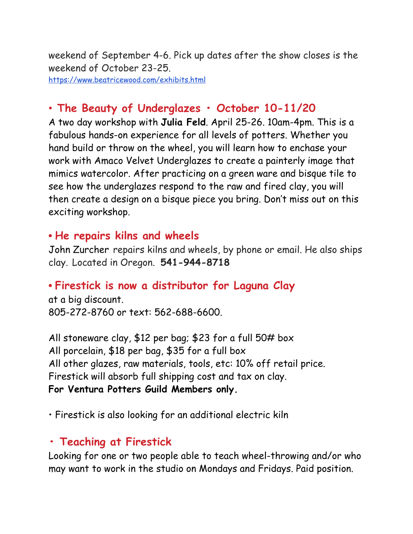weekend of September 4-6. Pick up dates after the show closes is the weekend of October 23-25. https://www.beatricewood.com/exhibits.html

# • **The Beauty of Underglazes • October 10-11/20**

A two day workshop with **Julia Feld**. April 25-26. 10am-4pm. This is a fabulous hands-on experience for all levels of potters. Whether you hand build or throw on the wheel, you will learn how to enchase your work with Amaco Velvet Underglazes to create a painterly image that mimics watercolor. After practicing on a green ware and bisque tile to see how the underglazes respond to the raw and fired clay, you will then create a design on a bisque piece you bring. Don't miss out on this exciting workshop.

### • **He repairs kilns and wheels**

John Zurcher repairs kilns and wheels, by phone or email. He also ships clay. Located in Oregon. **541-944-8718**

# • **Firestick is now a distributor for Laguna Clay**

at a big discount. 805-272-8760 or text: 562-688-6600.

All stoneware clay, \$12 per bag; \$23 for a full 50# box All porcelain, \$18 per bag, \$35 for a full box All other glazes, raw materials, tools, etc: 10% off retail price. Firestick will absorb full shipping cost and tax on clay. **For Ventura Potters Guild Members only.**

• Firestick is also looking for an additional electric kiln

# **• Teaching at Firestick**

Looking for one or two people able to teach wheel-throwing and/or who may want to work in the studio on Mondays and Fridays. Paid position.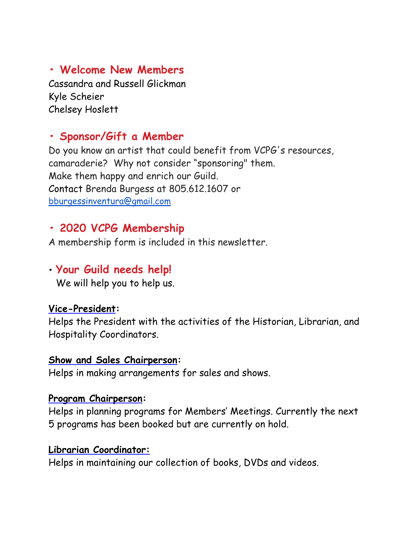**• Welcome New Members**

Cassandra and Russell Glickman Kyle Scheier Chelsey Hoslett

#### **• Sponsor/Gift a Member**

Do you know an artist that could benefit from VCPG's resources, camaraderie? Why not consider "sponsoring" them. Make them happy and enrich our Guild. Contact Brenda Burgess at 805.612.1607 or [bburgessinventura@gmail.com](mailto:bburgessinventura@gmail.com)

#### **• 2020 VCPG Membership**

A membership form is included in this newsletter.

#### • **Your Guild needs help!**

We will help you to help us.

#### **Vice-President:**

Helps the President with the activities of the Historian, Librarian, and Hospitality Coordinators.

#### **Show and Sales Chairperson:**

Helps in making arrangements for sales and shows.

#### **Program Chairperson:**

Helps in planning programs for Members' Meetings. Currently the next 5 programs has been booked but are currently on hold.

#### **Librarian Coordinator:**

Helps in maintaining our collection of books, DVDs and videos.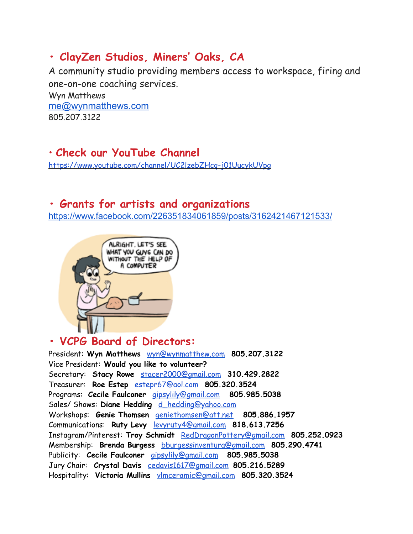# **• ClayZen Studios, Miners' Oaks, CA**

A community studio providing members access to workspace, firing and one-on-one coaching services.

Wyn Matthews [me@wynmatthews.com](mailto:me@wynmatthews.com) 805.207.3122

### • **Check our YouTube Channel**

<https://www.youtube.com/channel/UC2lzebZHcq-j01UucykUVpg>

#### **• Grants for artists and organizations**

<https://www.facebook.com/226351834061859/posts/3162421467121533/>



### **• VCPG Board of Directors:**

President: **Wyn Matthews** wyn@wynmatthew.com **805.207.3122** Vice President: **Would you like to volunteer?**  Secretary: **Stacy Rowe** [stacer2000@gmail.com](mailto:stacer2000@gmail.com) **310.429.2822** Treasurer: **Roe Estep** estepr67@aol.com **805.320.3524**  Programs: **Cecile Faulconer** gipsylily@gmail.com **805.985.5038**  Sales/ Shows: **Diane Hedding** d\_hedding@yahoo.com Workshops: **Genie Thomsen** geniethomsen@att.net **805.886.1957** Communications: **Ruty Levy** levyruty4@gmail.com **818.613.7256**  Instagram/Pinterest: **Troy Schmidt** [RedDragonPottery@gmail.com](mailto:RedDragonPottery@gmail.com) **805.252.0923** Membership: **Brenda Burgess** bburgessinventura@gmail.com **805.290.4741**  Publicity: **Cecile Faulconer** [gipsylily@gmail.com](mailto:gipsylily@gmail.com) **805.985.5038** Jury Chair: **Crystal Davis** [cedavis1617@gmail.com](mailto:cedavis1617@gmail.com) **805.216.5289**  Hospitality: **Victoria Mullins** vlmceramic@gmail.com **805.320.3524**